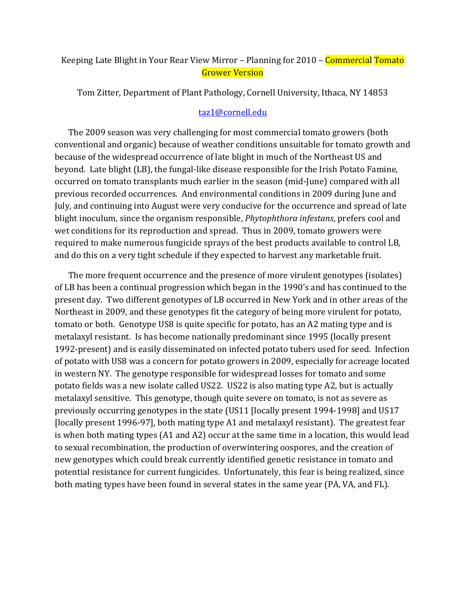## Keeping Late Blight in Your Rear View Mirror – Planning for 2010 – **Commercial Tomato** Grower Version

Tom Zitter, Department of Plant Pathology, Cornell University, Ithaca, NY 14853

## [taz1@cornell.edu](mailto:taz1@cornell.edu)

The 2009 season was very challenging for most commercial tomato growers (both conventional and organic) because of weather conditions unsuitable for tomato growth and because of the widespread occurrence of late blight in much of the Northeast US and beyond. Late blight (LB), the fungal-like disease responsible for the Irish Potato Famine, occurred on tomato transplants much earlier in the season (mid-June) compared with all previous recorded occurrences. And environmental conditions in 2009 during June and July, and continuing into August were very conducive for the occurrence and spread of late blight inoculum, since the organism responsible, *Phytophthora infestans*, prefers cool and wet conditions for its reproduction and spread. Thus in 2009, tomato growers were required to make numerous fungicide sprays of the best products available to control LB, and do this on a very tight schedule if they expected to harvest any marketable fruit.

The more frequent occurrence and the presence of more virulent genotypes (isolates) of LB has been a continual progression which began in the 1990's and has continued to the present day. Two different genotypes of LB occurred in New York and in other areas of the Northeast in 2009, and these genotypes fit the category of being more virulent for potato, tomato or both. Genotype US8 is quite specific for potato, has an A2 mating type and is metalaxyl resistant. Is has become nationally predominant since 1995 (locally present 1992-present) and is easily disseminated on infected potato tubers used for seed. Infection of potato with US8 was a concern for potato growers in 2009, especially for acreage located in western NY. The genotype responsible for widespread losses for tomato and some potato fields was a new isolate called US22. US22 is also mating type A2, but is actually metalaxyl sensitive. This genotype, though quite severe on tomato, is not as severe as previously occurring genotypes in the state (US11 [locally present 1994-1998] and US17 [locally present 1996-97], both mating type A1 and metalaxyl resistant). The greatest fear is when both mating types (A1 and A2) occur at the same time in a location, this would lead to sexual recombination, the production of overwintering oospores, and the creation of new genotypes which could break currently identified genetic resistance in tomato and potential resistance for current fungicides. Unfortunately, this fear is being realized, since both mating types have been found in several states in the same year (PA, VA, and FL).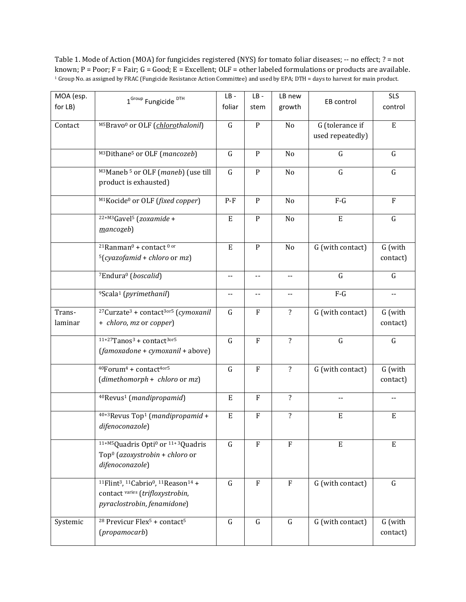Table 1. Mode of Action (MOA) for fungicides registered (NYS) for tomato foliar diseases; -- no effect; ? = not known; P = Poor; F = Fair; G = Good; E = Excellent; OLF = other labeled formulations or products are available. <sup>1</sup> Group No. as assigned by FRAC (Fungicide Resistance Action Committee) and used by EPA; DTH = days to harvest for main product.

| MOA (esp. | 1 <sup>Group</sup> Fungicide <sup>DTH</sup>                                                                 | $LB -$                   | $LB -$       | LB new                   |                           | <b>SLS</b>               |
|-----------|-------------------------------------------------------------------------------------------------------------|--------------------------|--------------|--------------------------|---------------------------|--------------------------|
| for LB)   |                                                                                                             | foliar                   | stem         | growth                   | EB control                | control                  |
|           |                                                                                                             |                          |              |                          |                           |                          |
| Contact   | M5Bravo <sup>0</sup> or OLF (chlorothalonil)                                                                | $\mathbf G$              | $\mathbf{P}$ | No                       | G (tolerance if           | $\mathbf E$              |
|           |                                                                                                             |                          |              |                          | used repeatedly)          |                          |
|           | M3Dithane <sup>5</sup> or OLF (mancozeb)                                                                    | $\mathbf G$              | $\mathbf{P}$ | No                       | $\mathsf G$               | G                        |
|           |                                                                                                             | $\mathbf G$              |              |                          | $\mathsf G$               |                          |
|           | M3Maneb <sup>5</sup> or OLF (maneb) (use till<br>product is exhausted)                                      |                          | $\, {\bf P}$ | No                       |                           | $\mathsf G$              |
|           |                                                                                                             |                          |              |                          |                           |                          |
|           | M <sub>1</sub> Kocide <sup>0</sup> or OLF (fixed copper)                                                    | $P-F$                    | ${\bf P}$    | No                       | $F-G$                     | $\rm F$                  |
|           |                                                                                                             |                          |              |                          |                           |                          |
|           | $22+M3$ Gavel <sup>5</sup> (zoxamide +                                                                      | $\mathbf E$              | ${\bf P}$    | No                       | $\mathbf E$               | $\mathbf G$              |
|           | $m$ ancozeb)                                                                                                |                          |              |                          |                           |                          |
|           | <sup>21</sup> Ranman <sup>0</sup> + contact <sup>0 or</sup>                                                 | $\mathbf E$              | $\, {\bf P}$ | No                       | G (with contact)          | G (with                  |
|           | $5(cyazofamid + chloro or mz)$                                                                              |                          |              |                          |                           | contact)                 |
|           |                                                                                                             |                          |              |                          |                           |                          |
|           | <sup>7</sup> Endura <sup>0</sup> (boscalid)                                                                 | $\overline{\phantom{a}}$ | --           | $\overline{\phantom{a}}$ | $\mathsf G$               | $\mathsf G$              |
|           |                                                                                                             |                          |              |                          | $F-G$                     |                          |
|           | <sup>9</sup> Scala <sup>1</sup> (pyrimethanil)                                                              | $\overline{\phantom{a}}$ | --           | $\overline{\phantom{a}}$ |                           | $\overline{\phantom{a}}$ |
| Trans-    | <sup>27</sup> Curzate <sup>3</sup> + contact <sup>3or5</sup> (cymoxanil                                     | $\mathsf G$              | F            | $\overline{\mathbf{?}}$  | G (with contact)          | G (with                  |
| laminar   | + chloro, mz or copper)                                                                                     |                          |              |                          |                           | contact)                 |
|           |                                                                                                             |                          |              |                          |                           |                          |
|           | $11+27$ Tanos <sup>3</sup> + contact <sup>3or5</sup>                                                        | $\mathbf G$              | $\mathbf{F}$ | $\overline{\mathbf{?}}$  | $\mathsf G$               | $\mathsf G$              |
|           | (famoxadone + cymoxanil + above)                                                                            |                          |              |                          |                           |                          |
|           | 40Forum <sup>4</sup> + contact <sup>4or5</sup>                                                              | $\mathbf G$              | $\rm F$      | $\overline{\mathbf{?}}$  | G (with contact)          | G (with                  |
|           | $(dimethomorph + chloro or mz)$                                                                             |                          |              |                          |                           | contact)                 |
|           |                                                                                                             |                          |              |                          |                           |                          |
|           | <sup>40</sup> Revus <sup>1</sup> (mandipropamid)                                                            | $\mathbf E$              | ${\bf F}$    | $\overline{\mathbf{?}}$  | --                        | $-$                      |
|           | $40+3$ Revus Top <sup>1</sup> ( <i>mandipropamid</i> +                                                      | ${\bf E}$                | ${\bf F}$    | $\overline{\mathbf{?}}$  | $\boldsymbol{\mathrm{E}}$ | $\mathbf E$              |
|           | difenoconazole)                                                                                             |                          |              |                          |                           |                          |
|           |                                                                                                             |                          |              |                          |                           |                          |
|           | <sup>11+M5</sup> Quadris Opti <sup>0</sup> or <sup>11+3</sup> Quadris                                       | $\mathsf G$              | F            | ${\bf F}$                | E                         | E                        |
|           | Top <sup>0</sup> (azoxystrobin + chloro or                                                                  |                          |              |                          |                           |                          |
|           | difenoconazole)                                                                                             |                          |              |                          |                           |                          |
|           | <sup>11</sup> Flint <sup>3</sup> , <sup>11</sup> Cabrio <sup>0</sup> , <sup>11</sup> Reason <sup>14</sup> + | $\mathsf G$              | $\rm F$      | $\rm F$                  | G (with contact)          | $\mathsf G$              |
|           | contact varies (trifloxystrobin,                                                                            |                          |              |                          |                           |                          |
|           | pyraclostrobin, fenamidone)                                                                                 |                          |              |                          |                           |                          |
|           |                                                                                                             |                          |              |                          |                           |                          |
| Systemic  | <sup>28</sup> Previcur Flex <sup>5</sup> + contact <sup>5</sup>                                             | $\mathsf G$              | $\mathsf G$  | G                        | G (with contact)          | G (with                  |
|           | (propamocarb)                                                                                               |                          |              |                          |                           | contact)                 |
|           |                                                                                                             |                          |              |                          |                           |                          |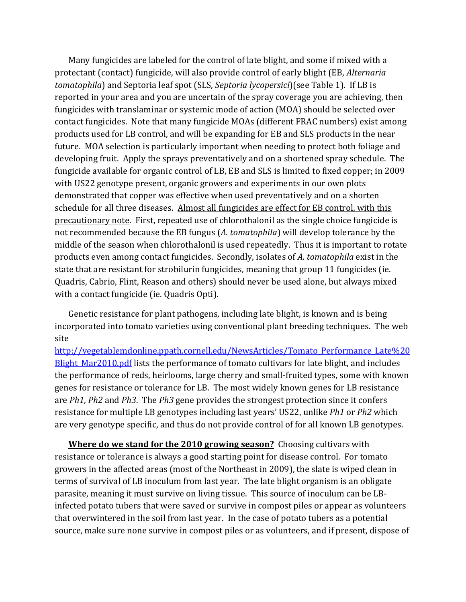Many fungicides are labeled for the control of late blight, and some if mixed with a protectant (contact) fungicide, will also provide control of early blight (EB, *Alternaria tomatophila*) and Septoria leaf spot (SLS, *Septoria lycopersici*)(see Table 1). If LB is reported in your area and you are uncertain of the spray coverage you are achieving, then fungicides with translaminar or systemic mode of action (MOA) should be selected over contact fungicides. Note that many fungicide MOAs (different FRAC numbers) exist among products used for LB control, and will be expanding for EB and SLS products in the near future. MOA selection is particularly important when needing to protect both foliage and developing fruit. Apply the sprays preventatively and on a shortened spray schedule. The fungicide available for organic control of LB, EB and SLS is limited to fixed copper; in 2009 with US22 genotype present, organic growers and experiments in our own plots demonstrated that copper was effective when used preventatively and on a shorten schedule for all three diseases. Almost all fungicides are effect for EB control, with this precautionary note. First, repeated use of chlorothalonil as the single choice fungicide is not recommended because the EB fungus (*A. tomatophila*) will develop tolerance by the middle of the season when chlorothalonil is used repeatedly. Thus it is important to rotate products even among contact fungicides. Secondly, isolates of *A. tomatophila* exist in the state that are resistant for strobilurin fungicides, meaning that group 11 fungicides (ie. Quadris, Cabrio, Flint, Reason and others) should never be used alone, but always mixed with a contact fungicide (ie. Quadris Opti).

Genetic resistance for plant pathogens, including late blight, is known and is being incorporated into tomato varieties using conventional plant breeding techniques. The web site

[http://vegetablemdonline.ppath.cornell.edu/NewsArticles/Tomato\\_Performance\\_Late%20](http://vegetablemdonline.ppath.cornell.edu/NewsArticles/Tomato_Performance_Late%20Blight_Mar2010.pdf) Blight Mar2010.pdf lists the performance of tomato cultivars for late blight, and includes the performance of reds, heirlooms, large cherry and small-fruited types, some with known genes for resistance or tolerance for LB. The most widely known genes for LB resistance are *Ph1*, *Ph2* and *Ph3*. The *Ph3* gene provides the strongest protection since it confers resistance for multiple LB genotypes including last years' US22, unlike *Ph1* or *Ph2* which are very genotype specific, and thus do not provide control of for all known LB genotypes.

**Where do we stand for the 2010 growing season?** Choosing cultivars with resistance or tolerance is always a good starting point for disease control. For tomato growers in the affected areas (most of the Northeast in 2009), the slate is wiped clean in terms of survival of LB inoculum from last year. The late blight organism is an obligate parasite, meaning it must survive on living tissue. This source of inoculum can be LBinfected potato tubers that were saved or survive in compost piles or appear as volunteers that overwintered in the soil from last year. In the case of potato tubers as a potential source, make sure none survive in compost piles or as volunteers, and if present, dispose of